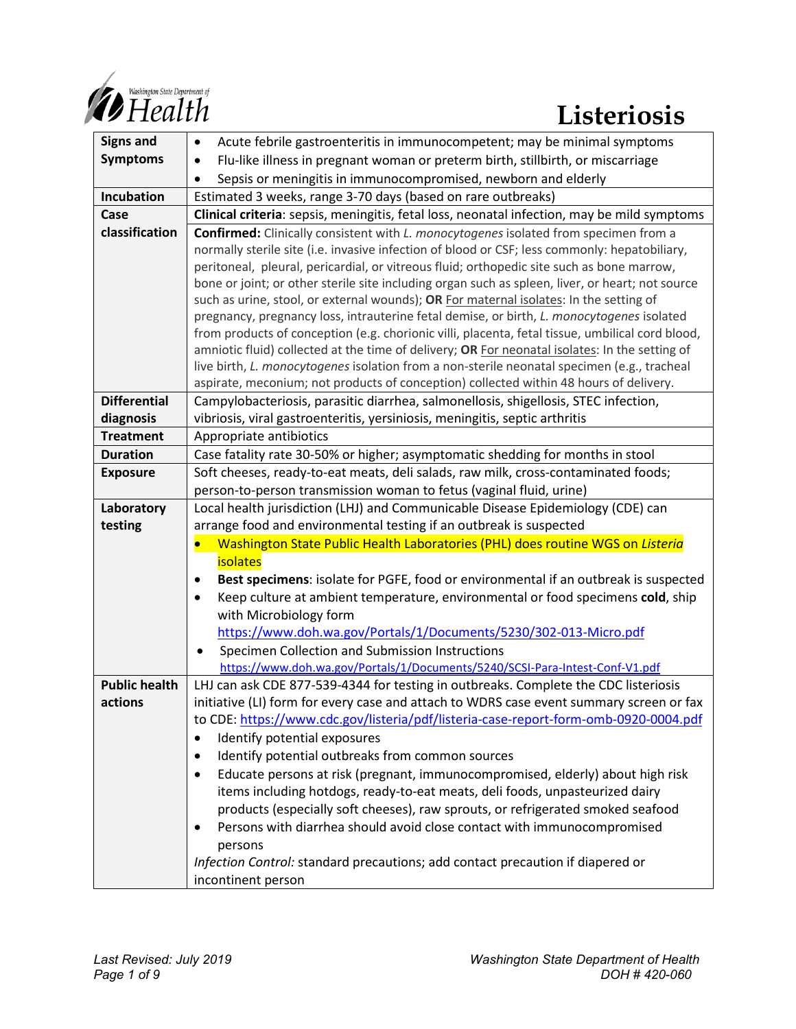

| <b>Signs and</b>     | Acute febrile gastroenteritis in immunocompetent; may be minimal symptoms<br>$\bullet$             |
|----------------------|----------------------------------------------------------------------------------------------------|
| <b>Symptoms</b>      | Flu-like illness in pregnant woman or preterm birth, stillbirth, or miscarriage<br>$\bullet$       |
|                      | Sepsis or meningitis in immunocompromised, newborn and elderly                                     |
| Incubation           | Estimated 3 weeks, range 3-70 days (based on rare outbreaks)                                       |
| Case                 | Clinical criteria: sepsis, meningitis, fetal loss, neonatal infection, may be mild symptoms        |
| classification       | <b>Confirmed:</b> Clinically consistent with <i>L. monocytogenes</i> isolated from specimen from a |
|                      | normally sterile site (i.e. invasive infection of blood or CSF; less commonly: hepatobiliary,      |
|                      | peritoneal, pleural, pericardial, or vitreous fluid; orthopedic site such as bone marrow,          |
|                      | bone or joint; or other sterile site including organ such as spleen, liver, or heart; not source   |
|                      | such as urine, stool, or external wounds); OR For maternal isolates: In the setting of             |
|                      | pregnancy, pregnancy loss, intrauterine fetal demise, or birth, L. monocytogenes isolated          |
|                      | from products of conception (e.g. chorionic villi, placenta, fetal tissue, umbilical cord blood,   |
|                      | amniotic fluid) collected at the time of delivery; OR For neonatal isolates: In the setting of     |
|                      | live birth, L. monocytogenes isolation from a non-sterile neonatal specimen (e.g., tracheal        |
|                      | aspirate, meconium; not products of conception) collected within 48 hours of delivery.             |
| <b>Differential</b>  | Campylobacteriosis, parasitic diarrhea, salmonellosis, shigellosis, STEC infection,                |
| diagnosis            | vibriosis, viral gastroenteritis, yersiniosis, meningitis, septic arthritis                        |
| <b>Treatment</b>     | Appropriate antibiotics                                                                            |
| <b>Duration</b>      | Case fatality rate 30-50% or higher; asymptomatic shedding for months in stool                     |
| <b>Exposure</b>      | Soft cheeses, ready-to-eat meats, deli salads, raw milk, cross-contaminated foods;                 |
|                      | person-to-person transmission woman to fetus (vaginal fluid, urine)                                |
| Laboratory           | Local health jurisdiction (LHJ) and Communicable Disease Epidemiology (CDE) can                    |
| testing              | arrange food and environmental testing if an outbreak is suspected                                 |
|                      | Washington State Public Health Laboratories (PHL) does routine WGS on Listeria                     |
|                      | isolates                                                                                           |
|                      | Best specimens: isolate for PGFE, food or environmental if an outbreak is suspected<br>$\bullet$   |
|                      | Keep culture at ambient temperature, environmental or food specimens cold, ship<br>$\bullet$       |
|                      | with Microbiology form                                                                             |
|                      | https://www.doh.wa.gov/Portals/1/Documents/5230/302-013-Micro.pdf                                  |
|                      | Specimen Collection and Submission Instructions                                                    |
|                      | https://www.doh.wa.gov/Portals/1/Documents/5240/SCSI-Para-Intest-Conf-V1.pdf                       |
| <b>Public health</b> | LHJ can ask CDE 877-539-4344 for testing in outbreaks. Complete the CDC listeriosis                |
| actions              | initiative (LI) form for every case and attach to WDRS case event summary screen or fax            |
|                      | to CDE: https://www.cdc.gov/listeria/pdf/listeria-case-report-form-omb-0920-0004.pdf               |
|                      | Identify potential exposures<br>$\bullet$                                                          |
|                      | Identify potential outbreaks from common sources<br>$\bullet$                                      |
|                      | Educate persons at risk (pregnant, immunocompromised, elderly) about high risk<br>$\bullet$        |
|                      | items including hotdogs, ready-to-eat meats, deli foods, unpasteurized dairy                       |
|                      | products (especially soft cheeses), raw sprouts, or refrigerated smoked seafood                    |
|                      | Persons with diarrhea should avoid close contact with immunocompromised<br>$\bullet$               |
|                      | persons                                                                                            |
|                      | Infection Control: standard precautions; add contact precaution if diapered or                     |
|                      | incontinent person                                                                                 |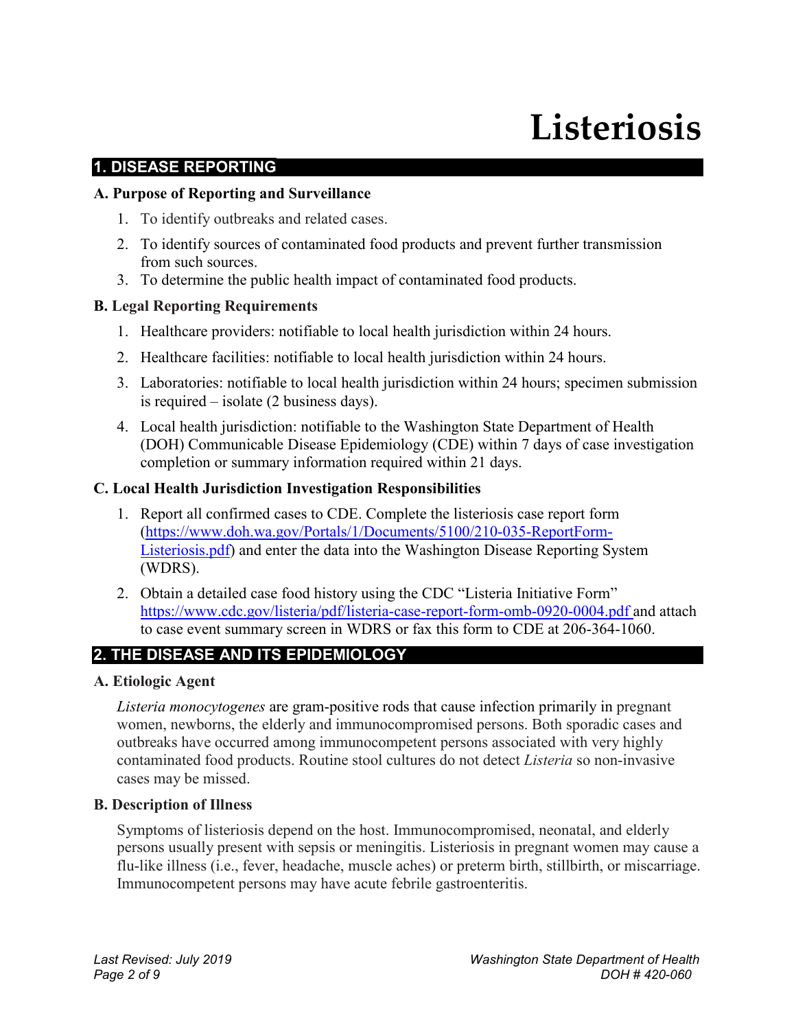# **Listeriosis**

#### **1. DISEASE REPORTING**

#### **A. Purpose of Reporting and Surveillance**

- 1. To identify outbreaks and related cases.
- 2. To identify sources of contaminated food products and prevent further transmission from such sources.
- 3. To determine the public health impact of contaminated food products.

#### **B. Legal Reporting Requirements**

- 1. Healthcare providers: notifiable to local health jurisdiction within 24 hours.
- 2. Healthcare facilities: notifiable to local health jurisdiction within 24 hours.
- 3. Laboratories: notifiable to local health jurisdiction within 24 hours; specimen submission is required – isolate (2 business days).
- 4. Local health jurisdiction: notifiable to the Washington State Department of Health (DOH) Communicable Disease Epidemiology (CDE) within 7 days of case investigation completion or summary information required within 21 days.

#### **C. Local Health Jurisdiction Investigation Responsibilities**

- 1. Report all confirmed cases to CDE. Complete the listeriosis case report form [\(https://www.doh.wa.gov/Portals/1/Documents/5100/210-035-ReportForm-](https://www.doh.wa.gov/Portals/1/Documents/5100/210-035-ReportForm-Listeriosis.pdf)[Listeriosis.pdf\)](https://www.doh.wa.gov/Portals/1/Documents/5100/210-035-ReportForm-Listeriosis.pdf) and enter the data into the Washington Disease Reporting System (WDRS).
- 2. Obtain a detailed case food history using the CDC "Listeria Initiative Form" <https://www.cdc.gov/listeria/pdf/listeria-case-report-form-omb-0920-0004.pdf> and attach to case event summary screen in WDRS or fax this form to CDE at 206-364-1060.

# **2. THE DISEASE AND ITS EPIDEMIOLOGY**

#### **A. Etiologic Agent**

*Listeria monocytogenes* are gram-positive rods that cause infection primarily in pregnant women, newborns, the elderly and immunocompromised persons. Both sporadic cases and outbreaks have occurred among immunocompetent persons associated with very highly contaminated food products. Routine stool cultures do not detect *Listeria* so non-invasive cases may be missed.

#### **B. Description of Illness**

Symptoms of listeriosis depend on the host. Immunocompromised, neonatal, and elderly persons usually present with sepsis or meningitis. Listeriosis in pregnant women may cause a flu-like illness (i.e., fever, headache, muscle aches) or preterm birth, stillbirth, or miscarriage. Immunocompetent persons may have acute febrile gastroenteritis.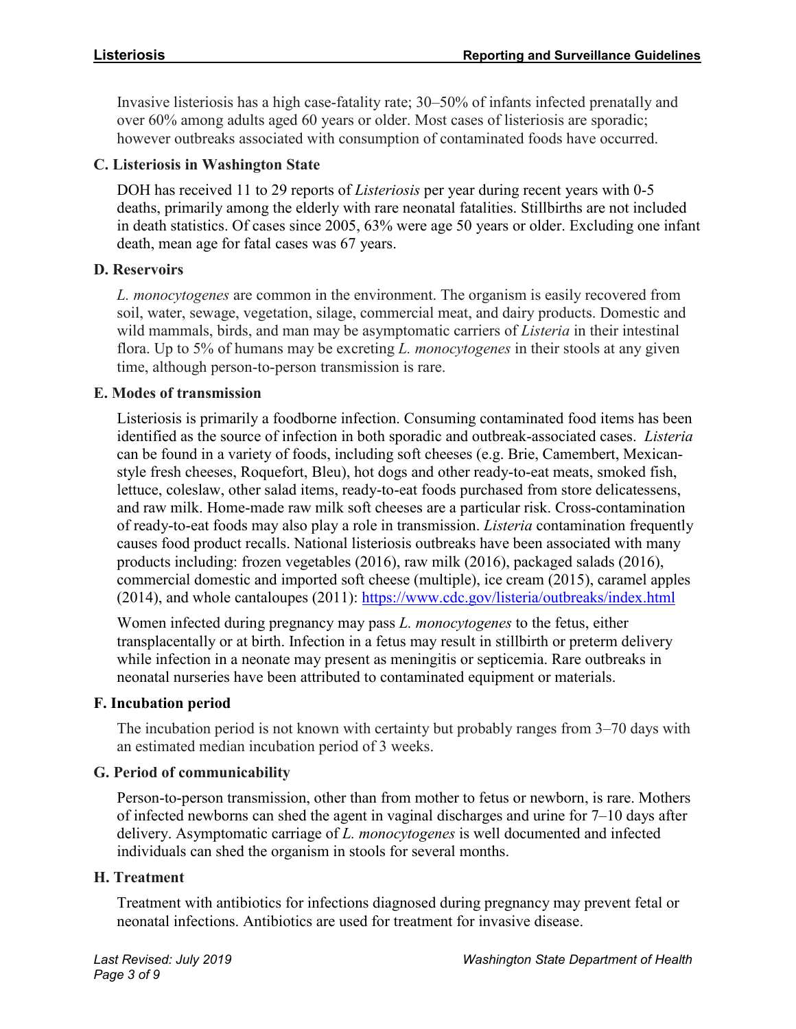Invasive listeriosis has a high case-fatality rate; 30–50% of infants infected prenatally and over 60% among adults aged 60 years or older. Most cases of listeriosis are sporadic; however outbreaks associated with consumption of contaminated foods have occurred.

#### **C. Listeriosis in Washington State**

DOH has received 11 to 29 reports of *Listeriosis* per year during recent years with 0-5 deaths, primarily among the elderly with rare neonatal fatalities. Stillbirths are not included in death statistics. Of cases since 2005, 63% were age 50 years or older. Excluding one infant death, mean age for fatal cases was 67 years.

#### **D. Reservoirs**

*L. monocytogenes* are common in the environment. The organism is easily recovered from soil, water, sewage, vegetation, silage, commercial meat, and dairy products. Domestic and wild mammals, birds, and man may be asymptomatic carriers of *Listeria* in their intestinal flora. Up to 5% of humans may be excreting *L. monocytogenes* in their stools at any given time, although person-to-person transmission is rare.

#### **E. Modes of transmission**

Listeriosis is primarily a foodborne infection. Consuming contaminated food items has been identified as the source of infection in both sporadic and outbreak-associated cases. *Listeria* can be found in a variety of foods, including soft cheeses (e.g. Brie, Camembert, Mexicanstyle fresh cheeses, Roquefort, Bleu), hot dogs and other ready-to-eat meats, smoked fish, lettuce, coleslaw, other salad items, ready-to-eat foods purchased from store delicatessens, and raw milk. Home-made raw milk soft cheeses are a particular risk. Cross-contamination of ready-to-eat foods may also play a role in transmission. *Listeria* contamination frequently causes food product recalls. National listeriosis outbreaks have been associated with many products including: frozen vegetables (2016), raw milk (2016), packaged salads (2016), commercial domestic and imported soft cheese (multiple), ice cream (2015), caramel apples (2014), and whole cantaloupes (2011): <https://www.cdc.gov/listeria/outbreaks/index.html>

Women infected during pregnancy may pass *L. monocytogenes* to the fetus, either transplacentally or at birth. Infection in a fetus may result in stillbirth or preterm delivery while infection in a neonate may present as meningitis or septicemia. Rare outbreaks in neonatal nurseries have been attributed to contaminated equipment or materials.

# **F. Incubation period**

The incubation period is not known with certainty but probably ranges from 3–70 days with an estimated median incubation period of 3 weeks.

# **G. Period of communicability**

Person-to-person transmission, other than from mother to fetus or newborn, is rare. Mothers of infected newborns can shed the agent in vaginal discharges and urine for 7–10 days after delivery. Asymptomatic carriage of *L. monocytogenes* is well documented and infected individuals can shed the organism in stools for several months.

#### **H. Treatment**

Treatment with antibiotics for infections diagnosed during pregnancy may prevent fetal or neonatal infections. Antibiotics are used for treatment for invasive disease.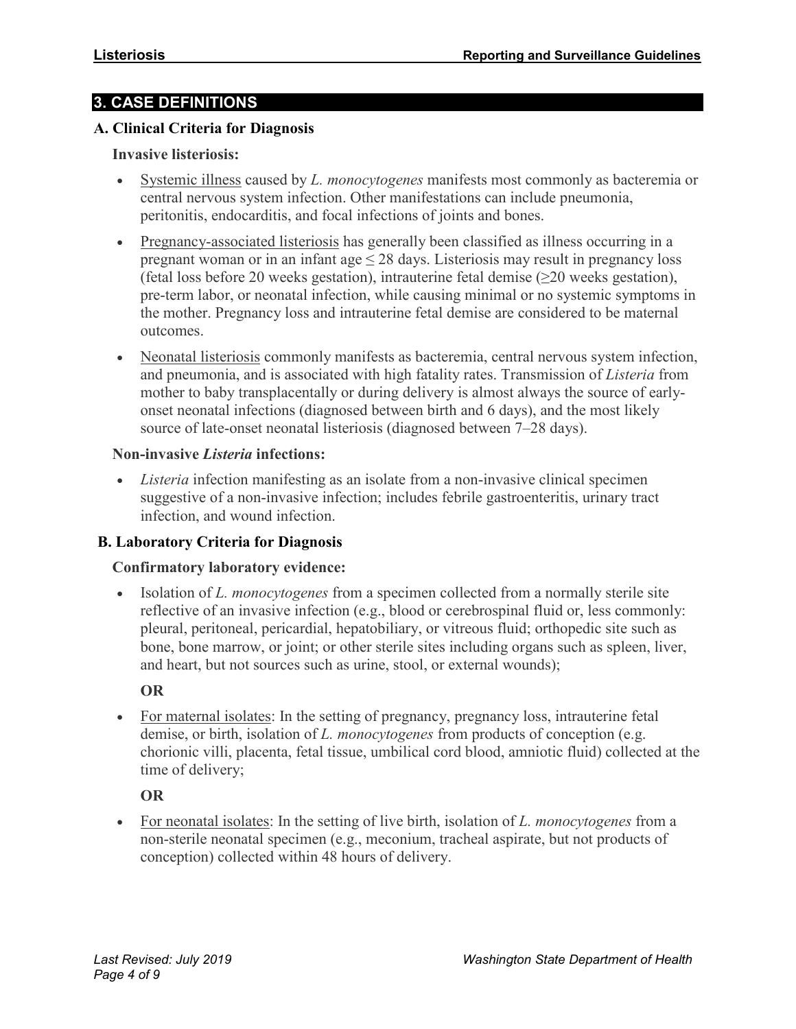# **3. CASE DEFINITIONS**

#### **A. Clinical Criteria for Diagnosis**

#### **Invasive listeriosis:**

- Systemic illness caused by *L. monocytogenes* manifests most commonly as bacteremia or central nervous system infection. Other manifestations can include pneumonia, peritonitis, endocarditis, and focal infections of joints and bones.
- Pregnancy-associated listeriosis has generally been classified as illness occurring in a pregnant woman or in an infant age  $\leq$  28 days. Listeriosis may result in pregnancy loss (fetal loss before 20 weeks gestation), intrauterine fetal demise  $(\geq 20$  weeks gestation), pre-term labor, or neonatal infection, while causing minimal or no systemic symptoms in the mother. Pregnancy loss and intrauterine fetal demise are considered to be maternal outcomes.
- Neonatal listeriosis commonly manifests as bacteremia, central nervous system infection, and pneumonia, and is associated with high fatality rates. Transmission of *Listeria* from mother to baby transplacentally or during delivery is almost always the source of earlyonset neonatal infections (diagnosed between birth and 6 days), and the most likely source of late-onset neonatal listeriosis (diagnosed between 7–28 days).

#### **Non-invasive** *Listeria* **infections:**

• *Listeria* infection manifesting as an isolate from a non-invasive clinical specimen suggestive of a non-invasive infection; includes febrile gastroenteritis, urinary tract infection, and wound infection.

#### **B. Laboratory Criteria for Diagnosis**

#### **Confirmatory laboratory evidence:**

• Isolation of *L. monocytogenes* from a specimen collected from a normally sterile site reflective of an invasive infection (e.g., blood or cerebrospinal fluid or, less commonly: pleural, peritoneal, pericardial, hepatobiliary, or vitreous fluid; orthopedic site such as bone, bone marrow, or joint; or other sterile sites including organs such as spleen, liver, and heart, but not sources such as urine, stool, or external wounds);

#### **OR**

• For maternal isolates: In the setting of pregnancy, pregnancy loss, intrauterine fetal demise, or birth, isolation of *L. monocytogenes* from products of conception (e.g. chorionic villi, placenta, fetal tissue, umbilical cord blood, amniotic fluid) collected at the time of delivery;

#### **OR**

• For neonatal isolates: In the setting of live birth, isolation of *L. monocytogenes* from a non-sterile neonatal specimen (e.g., meconium, tracheal aspirate, but not products of conception) collected within 48 hours of delivery.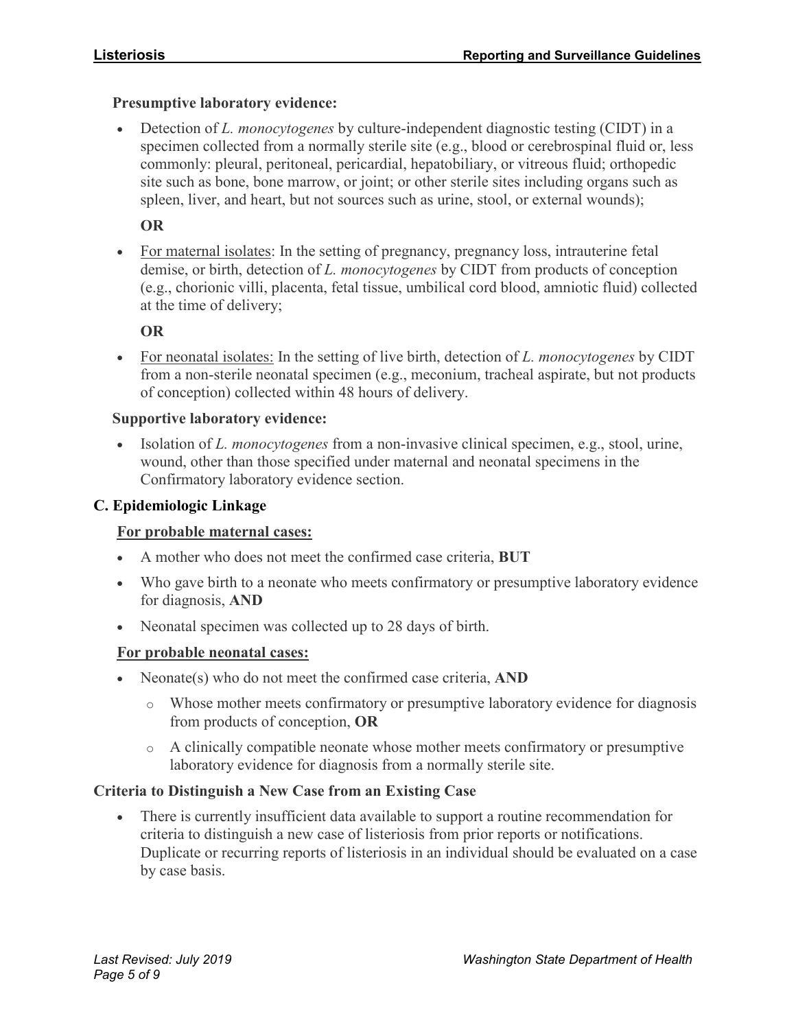#### **Presumptive laboratory evidence:**

• Detection of *L. monocytogenes* by culture-independent diagnostic testing (CIDT) in a specimen collected from a normally sterile site (e.g., blood or cerebrospinal fluid or, less commonly: pleural, peritoneal, pericardial, hepatobiliary, or vitreous fluid; orthopedic site such as bone, bone marrow, or joint; or other sterile sites including organs such as spleen, liver, and heart, but not sources such as urine, stool, or external wounds);

#### **OR**

• For maternal isolates: In the setting of pregnancy, pregnancy loss, intrauterine fetal demise, or birth, detection of *L. monocytogenes* by CIDT from products of conception (e.g., chorionic villi, placenta, fetal tissue, umbilical cord blood, amniotic fluid) collected at the time of delivery;

#### **OR**

• For neonatal isolates: In the setting of live birth, detection of *L. monocytogenes* by CIDT from a non-sterile neonatal specimen (e.g., meconium, tracheal aspirate, but not products of conception) collected within 48 hours of delivery.

#### **Supportive laboratory evidence:**

• Isolation of *L. monocytogenes* from a non-invasive clinical specimen, e.g., stool, urine, wound, other than those specified under maternal and neonatal specimens in the Confirmatory laboratory evidence section.

#### **C. Epidemiologic Linkage**

#### **For probable maternal cases:**

- A mother who does not meet the confirmed case criteria, **BUT**
- Who gave birth to a neonate who meets confirmatory or presumptive laboratory evidence for diagnosis, **AND**
- Neonatal specimen was collected up to 28 days of birth.

#### **For probable neonatal cases:**

- Neonate(s) who do not meet the confirmed case criteria, **AND**
	- o Whose mother meets confirmatory or presumptive laboratory evidence for diagnosis from products of conception, **OR**
	- o A clinically compatible neonate whose mother meets confirmatory or presumptive laboratory evidence for diagnosis from a normally sterile site.

#### **Criteria to Distinguish a New Case from an Existing Case**

• There is currently insufficient data available to support a routine recommendation for criteria to distinguish a new case of listeriosis from prior reports or notifications. Duplicate or recurring reports of listeriosis in an individual should be evaluated on a case by case basis.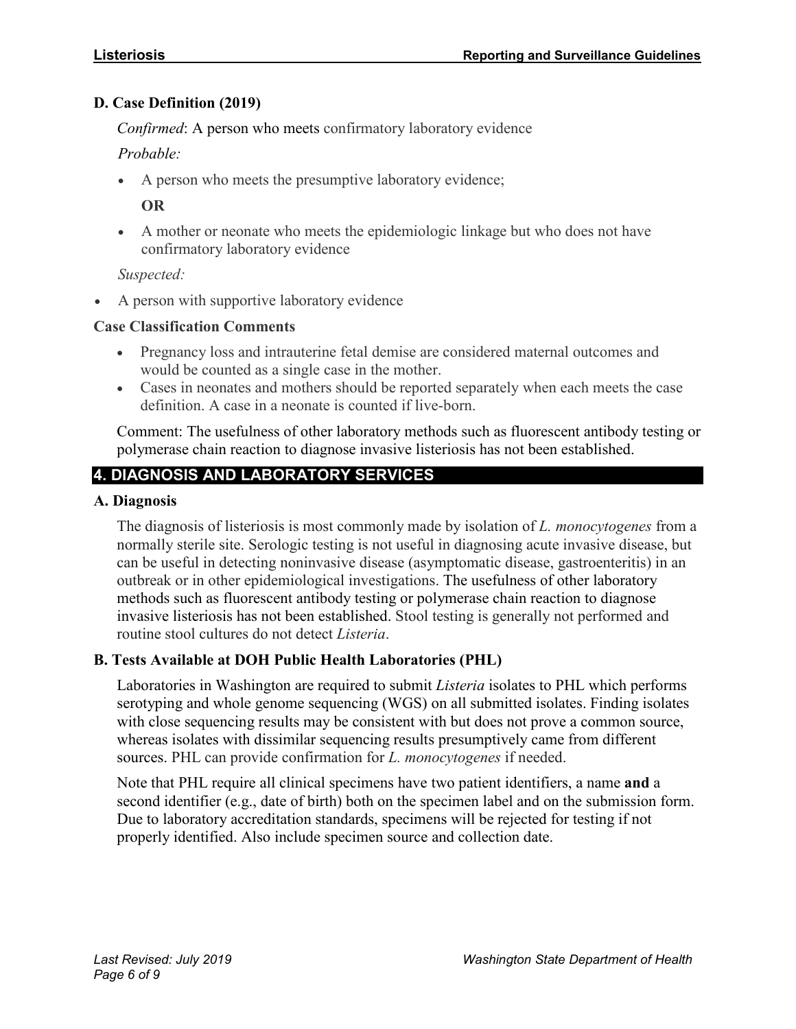#### **D. Case Definition (2019)**

*Confirmed*: A person who meets confirmatory laboratory evidence

*Probable:* 

• A person who meets the presumptive laboratory evidence;

**OR**

• A mother or neonate who meets the epidemiologic linkage but who does not have confirmatory laboratory evidence

*Suspected:*

• A person with supportive laboratory evidence

#### **Case Classification Comments**

- Pregnancy loss and intrauterine fetal demise are considered maternal outcomes and would be counted as a single case in the mother.
- Cases in neonates and mothers should be reported separately when each meets the case definition. A case in a neonate is counted if live-born.

Comment: The usefulness of other laboratory methods such as fluorescent antibody testing or polymerase chain reaction to diagnose invasive listeriosis has not been established.

# **4. DIAGNOSIS AND LABORATORY SERVICES**

#### **A. Diagnosis**

The diagnosis of listeriosis is most commonly made by isolation of *L. monocytogenes* from a normally sterile site. Serologic testing is not useful in diagnosing acute invasive disease, but can be useful in detecting noninvasive disease (asymptomatic disease, gastroenteritis) in an outbreak or in other epidemiological investigations. The usefulness of other laboratory methods such as fluorescent antibody testing or polymerase chain reaction to diagnose invasive listeriosis has not been established. Stool testing is generally not performed and routine stool cultures do not detect *Listeria*.

#### **B. Tests Available at DOH Public Health Laboratories (PHL)**

Laboratories in Washington are required to submit *Listeria* isolates to PHL which performs serotyping and whole genome sequencing (WGS) on all submitted isolates. Finding isolates with close sequencing results may be consistent with but does not prove a common source, whereas isolates with dissimilar sequencing results presumptively came from different sources. PHL can provide confirmation for *L. monocytogenes* if needed.

Note that PHL require all clinical specimens have two patient identifiers, a name **and** a second identifier (e.g., date of birth) both on the specimen label and on the submission form. Due to laboratory accreditation standards, specimens will be rejected for testing if not properly identified. Also include specimen source and collection date.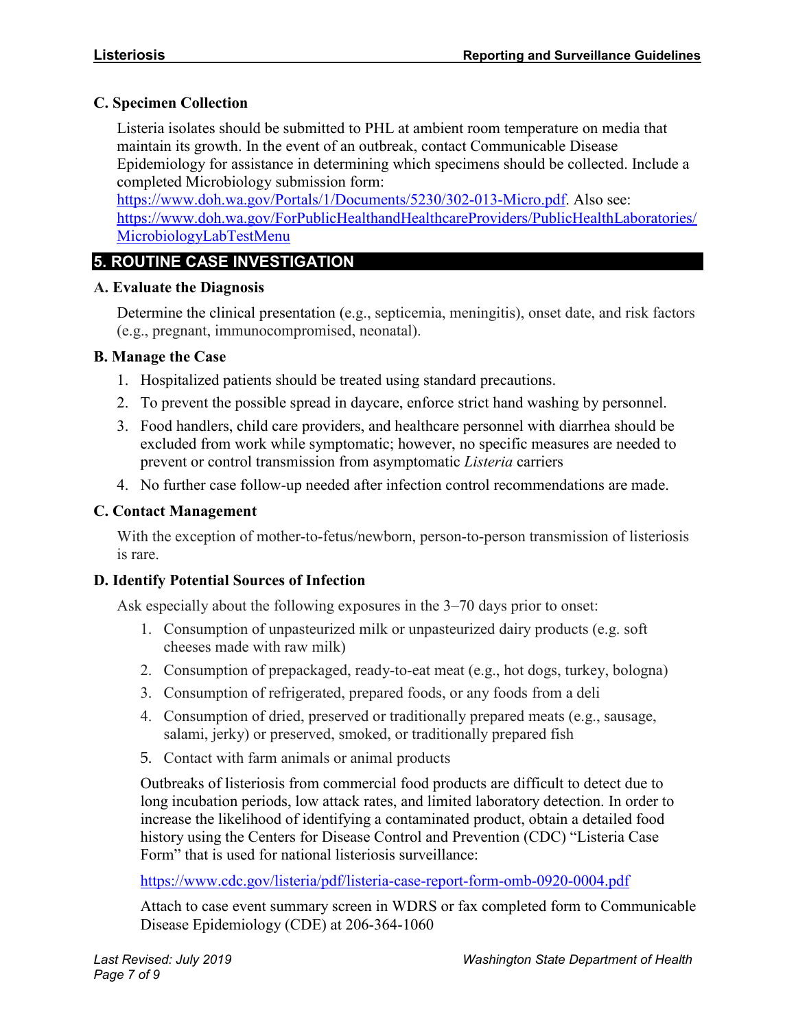#### **C. Specimen Collection**

Listeria isolates should be submitted to PHL at ambient room temperature on media that maintain its growth. In the event of an outbreak, contact Communicable Disease Epidemiology for assistance in determining which specimens should be collected. Include a completed Microbiology submission form:

[https://www.doh.wa.gov/Portals/1/Documents/5230/302-013-Micro.pdf.](https://www.doh.wa.gov/Portals/1/Documents/5230/302-013-Micro.pdf) Also see: [https://www.doh.wa.gov/ForPublicHealthandHealthcareProviders/PublicHealthLaboratories/](https://www.doh.wa.gov/ForPublicHealthandHealthcareProviders/PublicHealthLaboratories/MicrobiologyLabTestMenu) [MicrobiologyLabTestMenu](https://www.doh.wa.gov/ForPublicHealthandHealthcareProviders/PublicHealthLaboratories/MicrobiologyLabTestMenu)

# **5. ROUTINE CASE INVESTIGATION**

#### **A. Evaluate the Diagnosis**

Determine the clinical presentation (e.g., septicemia, meningitis), onset date, and risk factors (e.g., pregnant, immunocompromised, neonatal).

#### **B. Manage the Case**

- 1. Hospitalized patients should be treated using standard precautions.
- 2. To prevent the possible spread in daycare, enforce strict hand washing by personnel.
- 3. Food handlers, child care providers, and healthcare personnel with diarrhea should be excluded from work while symptomatic; however, no specific measures are needed to prevent or control transmission from asymptomatic *Listeria* carriers
- 4. No further case follow-up needed after infection control recommendations are made.

# **C. Contact Management**

With the exception of mother-to-fetus/newborn, person-to-person transmission of listeriosis is rare.

#### **D. Identify Potential Sources of Infection**

Ask especially about the following exposures in the 3–70 days prior to onset:

- 1. Consumption of unpasteurized milk or unpasteurized dairy products (e.g. soft cheeses made with raw milk)
- 2. Consumption of prepackaged, ready-to-eat meat (e.g., hot dogs, turkey, bologna)
- 3. Consumption of refrigerated, prepared foods, or any foods from a deli
- 4. Consumption of dried, preserved or traditionally prepared meats (e.g., sausage, salami, jerky) or preserved, smoked, or traditionally prepared fish
- 5. Contact with farm animals or animal products

Outbreaks of listeriosis from commercial food products are difficult to detect due to long incubation periods, low attack rates, and limited laboratory detection. In order to increase the likelihood of identifying a contaminated product, obtain a detailed food history using the Centers for Disease Control and Prevention (CDC) "Listeria Case Form" that is used for national listeriosis surveillance:

<https://www.cdc.gov/listeria/pdf/listeria-case-report-form-omb-0920-0004.pdf>

Attach to case event summary screen in WDRS or fax completed form to Communicable Disease Epidemiology (CDE) at 206-364-1060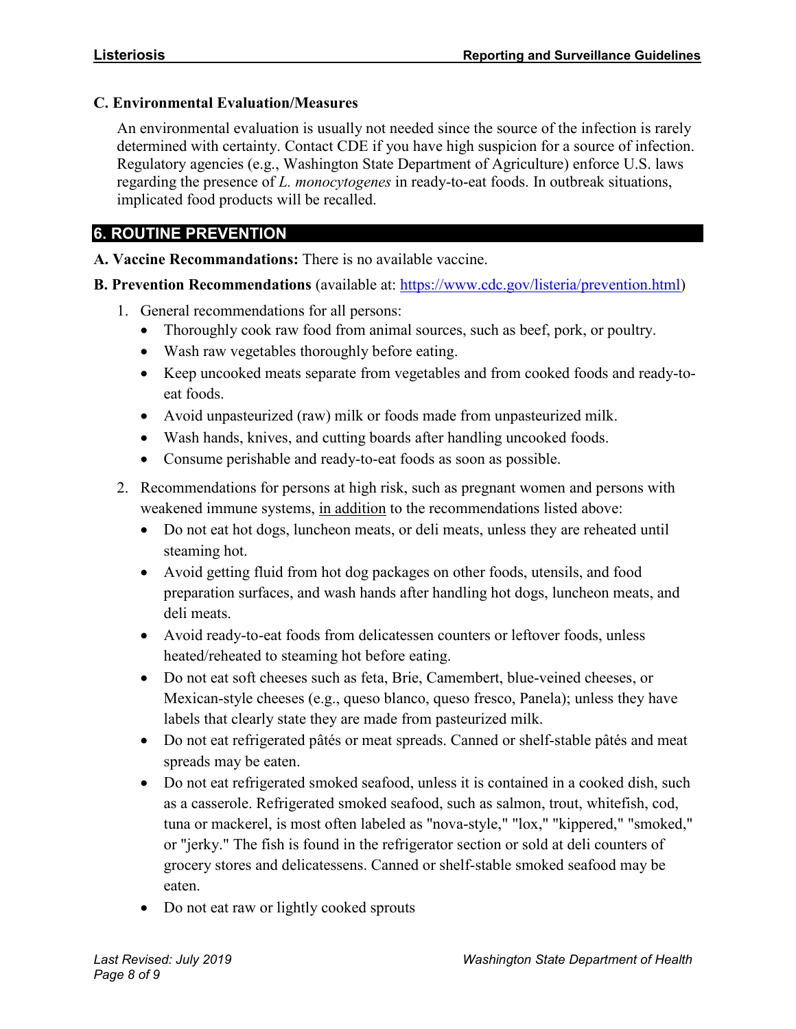#### **C. Environmental Evaluation/Measures**

An environmental evaluation is usually not needed since the source of the infection is rarely determined with certainty. Contact CDE if you have high suspicion for a source of infection. Regulatory agencies (e.g., Washington State Department of Agriculture) enforce U.S. laws regarding the presence of *L. monocytogenes* in ready-to-eat foods. In outbreak situations, implicated food products will be recalled.

# **6. ROUTINE PREVENTION**

**A. Vaccine Recommandations:** There is no available vaccine.

**B. Prevention Recommendations** (available at: [https://www.cdc.gov/listeria/prevention.html\)](https://www.cdc.gov/listeria/prevention.html)

- 1. General recommendations for all persons:
	- Thoroughly cook raw food from animal sources, such as beef, pork, or poultry.
	- Wash raw vegetables thoroughly before eating.
	- Keep uncooked meats separate from vegetables and from cooked foods and ready-toeat foods.
	- Avoid unpasteurized (raw) milk or foods made from unpasteurized milk.
	- Wash hands, knives, and cutting boards after handling uncooked foods.
	- Consume perishable and ready-to-eat foods as soon as possible.
- 2. Recommendations for persons at high risk, such as pregnant women and persons with weakened immune systems, in addition to the recommendations listed above:
	- Do not eat hot dogs, luncheon meats, or deli meats, unless they are reheated until steaming hot.
	- Avoid getting fluid from hot dog packages on other foods, utensils, and food preparation surfaces, and wash hands after handling hot dogs, luncheon meats, and deli meats.
	- Avoid ready-to-eat foods from delicatessen counters or leftover foods, unless heated/reheated to steaming hot before eating.
	- Do not eat soft cheeses such as feta, Brie, Camembert, blue-veined cheeses, or Mexican-style cheeses (e.g., queso blanco, queso fresco, Panela); unless they have labels that clearly state they are made from pasteurized milk.
	- Do not eat refrigerated pâtés or meat spreads. Canned or shelf-stable pâtés and meat spreads may be eaten.
	- Do not eat refrigerated smoked seafood, unless it is contained in a cooked dish, such as a casserole. Refrigerated smoked seafood, such as salmon, trout, whitefish, cod, tuna or mackerel, is most often labeled as "nova-style," "lox," "kippered," "smoked," or "jerky." The fish is found in the refrigerator section or sold at deli counters of grocery stores and delicatessens. Canned or shelf-stable smoked seafood may be eaten.
	- Do not eat raw or lightly cooked sprouts